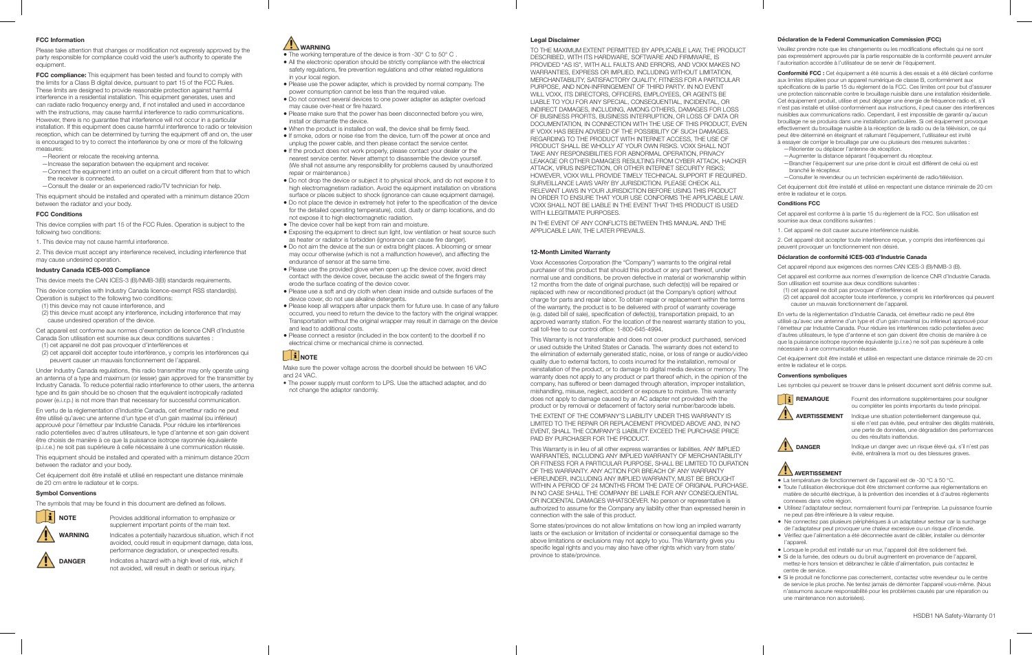### **FCC Information**

Please take attention that changes or modification not expressly approved by the party responsible for compliance could void the user's authority to operate the equipment

**FCC compliance:** This equipment has been tested and found to comply with the limits for a Class B digital device, pursuant to part 15 of the FCC Rules. These limits are designed to provide reasonable protection against harmful interference in a residential installation. This equipment generates, uses and can radiate radio frequency energy and, if not installed and used in accordance with the instructions, may cause harmful interference to radio communications. However, there is no guarantee that interference will not occur in a particular installation. If this equipment does cause harmful interference to radio or television reception, which can be determined by turning the equipment off and on, the user is encouraged to try to correct the interference by one or more of the following measures:

- —Reorient or relocate the receiving antenna.
- —Increase the separation between the equipment and receiver. —Connect the equipment into an outlet on a circuit different from that to which the receiver is connected.
- —Consult the dealer or an experienced radio/TV technician for help.

This equipment should be installed and operated with a minimum distance 20cm between the radiator and your body.

#### **FCC Conditions**

This device complies with part 15 of the FCC Rules. Operation is subject to the following two conditions:

1. This device may not cause harmful interference.

2. This device must accept any interference received, including interference that may cause undesired operation.

# **Industry Canada ICES-003 Compliance**

This device meets the CAN ICES-3 (B)/NMB-3(B) standards requirements.

This device complies with Industry Canada licence-exempt RSS standard(s). Operation is subject to the following two conditions:

- (1) this device may not cause interference, and
- (2) this device must accept any interference, including interference that may cause undesired operation of the device.

Cet appareil est conforme aux normes d'exemption de licence CNR d'Industrie Canada Son utilisation est soumise aux deux conditions suivantes :

- (1) cet appareil ne doit pas provoquer d'interférences et
- (2) cet appareil doit accepter toute interférence, y compris les interférences qui peuvent causer un mauvais fonctionnement de l'appareil.

Under Industry Canada regulations, this radio transmitter may only operate using an antenna of a type and maximum (or lesser) gain approved for the transmitter by Industry Canada. To reduce potential radio interference to other users, the antenna type and its gain should be so chosen that the equivalent isotropically radiated power (e.i.r.p.) is not more than that necessary for successful communication.

En vertu de la réglementation d'Industrie Canada, cet émetteur radio ne peut être utilisé qu'avec une antenne d'un type et d'un gain maximal (ou inférieur) approuvé pour l'émetteur par Industrie Canada. Pour réduire les interférences radio potentielles avec d'autres utilisateurs, le type d'antenne et son gain doivent être choisis de manière à ce que la puissance isotrope rayonnée équivalente (p.i.r.e.) ne soit pas supérieure à celle nécessaire à une communication réussie.

This equipment should be installed and operated with a minimum distance 20cm between the radiator and your body.

Cet équipement doit être installé et utilisé en respectant une distance minimale de 20 cm entre le radiateur et le corps.

## **Symbol Conventions**

The symbols that may be found in this document are defined as follows.



**DANGER**

Provides additional information to emphasize or supplement important points of the main text.

Indicates a potentially hazardous situation, which if not avoided, could result in equipment damage, data loss, performance degradation, or unexpected results.

Indicates a hazard with a high level of risk, which if not avoided, will result in death or serious injury.

# **WARNING**

- The working temperature of the device is from -30° C to 50° C .
- All the electronic operation should be strictly compliance with the electrical safety regulations, fire prevention regulations and other related regulations in your local region.
- Please use the power adapter, which is provided by normal company. The power consumption cannot be less than the required value.
- Do not connect several devices to one power adapter as adapter overload may cause over-heat or fire hazard.
- Please make sure that the power has been disconnected before you wire, install or dismantle the device.
- When the product is installed on wall, the device shall be firmly fixed.
- If smoke, odors or noise rise from the device, turn off the power at once and unplug the power cable, and then please contact the service center. ● If the product does not work properly, please contact your dealer or the
- nearest service center. Never attempt to disassemble the device yourself. (We shall not assume any responsibility for problems caused by unauthorized repair or maintenance.)
- Do not drop the device or subject it to physical shock, and do not expose it to high electromagnetism radiation. Avoid the equipment installation on vibrations
- surface or places subject to shock (ignorance can cause equipment damage). ● Do not place the device in extremely hot (refer to the specification of the device for the detailed operating temperature), cold, dusty or damp locations, and do not expose it to high electromagnetic radiation.
- The device cover hall be kept from rain and moisture.
- Exposing the equipment to direct sun light, low ventilation or heat source such as heater or radiator is forbidden (ignorance can cause fire danger).
- Do not aim the device at the sun or extra bright places. A blooming or smear may occur otherwise (which is not a malfunction however), and affecting the endurance of sensor at the same time.
- Please use the provided glove when open up the device cover, avoid direct contact with the device cover, because the acidic sweat of the fingers may erode the surface coating of the device cover.
- Please use a soft and dry cloth when clean inside and outside surfaces of the device cover, do not use alkaline detergents.
- Please keep all wrappers after unpack them for future use. In case of any failure occurred, you need to return the device to the factory with the original wrapper. Transportation without the original wrapper may result in damage on the device and lead to additional costs.
- Please connect a resistor (included in the box content) to the doorbell if no electrical chime or mechanical chime is connected.

# $\begin{bmatrix} \mathbf{i} \end{bmatrix}$  NOTE

Make sure the power voltage across the doorbell should be between 16 VAC and 24 VAC.

• The power supply must conform to LPS. Use the attached adapter, and do not change the adaptor randomly.

**Legal Disclaimer**

TO THE MAXIMUM EXTENT PERMITTED BY APPLICABLE LAW, THE PRODUCT DESCRIBED, WITH ITS HARDWARE, SOFTWARE AND FIRMWARE, IS PROVIDED "AS IS", WITH ALL FAULTS AND ERRORS, AND VOXX MAKES NO WARRANTIES, EXPRESS OR IMPLIED, INCLUDING WITHOUT LIMITATION, MERCHANTABILITY, SATISFACTORY QUALITY, FITNESS FOR A PARTICULAR PURPOSE, AND NON-INFRINGEMENT OF THIRD PARTY. IN NO EVENT WILL VOXX, ITS DIRECTORS, OFFICERS, EMPLOYEES, OR AGENTS BE LIABLE TO YOU FOR ANY SPECIAL, CONSEQUENTIAL, INCIDENTAL, OR INDIRECT DAMAGES, INCLUDING, AMONG OTHERS, DAMAGES FOR LOSS OF BUSINESS PROFITS, BUSINESS INTERRUPTION, OR LOSS OF DATA OR DOCUMENTATION, IN CONNECTION WITH THE USE OF THIS PRODUCT, EVEN IF VOXX HAS BEEN ADVISED OF THE POSSIBILITY OF SUCH DAMAGES. REGARDING TO THE PRODUCT WITH INTERNET ACCESS, THE USE OF PRODUCT SHALL BE WHOLLY AT YOUR OWN RISKS. VOXX SHALL NOT TAKE ANY RESPONSIBILITIES FOR ABNORMAL OPERATION, PRIVACY LEAKAGE OR OTHER DAMAGES RESULTING FROM CYBER ATTACK, HACKER ATTACK, VIRUS INSPECTION, OR OTHER INTERNET SECURITY RISKS; HOWEVER, VOXX WILL PROVIDE TIMELY TECHNICAL SUPPORT IF REQUIRED. SURVEILLANCE LAWS VARY BY JURISDICTION. PLEASE CHECK ALL RELEVANT LAWS IN YOUR JURISDICTION BEFORE USING THIS PRODUCT IN ORDER TO ENSURE THAT YOUR USE CONFORMS THE APPLICABLE LAW. VOXX SHALL NOT BE LIABLE IN THE EVENT THAT THIS PRODUCT IS USED WITH ILLEGITIMATE PURPOSES.

IN THE EVENT OF ANY CONFLICTS BETWEEN THIS MANUAL AND THE APPLICABLE LAW, THE LATER PREVAILS.

#### **12-Month Limited Warranty**

Voxx Accessories Corporation (the "Company") warrants to the original retail purchaser of this product that should this product or any part thereof, under normal use and conditions, be proven defective in material or workmanship within 12 months from the date of original purchase, such defect(s) will be repaired or replaced with new or reconditioned product (at the Company's option) without charge for parts and repair labor. To obtain repair or replacement within the terms of the warranty, the product is to be delivered with proof of warranty coverage (e.g. dated bill of sale), specification of defect(s), transportation prepaid, to an approved warranty station. For the location of the nearest warranty station to you, call toll-free to our control office: 1-800-645-4994.

This Warranty is not transferable and does not cover product purchased, serviced or used outside the United States or Canada. The warranty does not extend to the elimination of externally generated static, noise, or loss of range or audio/video quality due to external factors, to costs incurred for the installation, removal or reinstallation of the product, or to damage to digital media devices or memory. The warranty does not apply to any product or part thereof which, in the opinion of the company, has suffered or been damaged through alteration, improper installation, mishandling, misuse, neglect, accident or exposure to moisture. This warranty does not apply to damage caused by an AC adapter not provided with the product or by removal or defacement of factory serial number/barcode labels.

THE EXTENT OF THE COMPANY'S LIABILITY UNDER THIS WARRANTY IS LIMITED TO THE REPAIR OR REPLACEMENT PROVIDED ABOVE AND, IN NO EVENT, SHALL THE COMPANY'S LIABILITY EXCEED THE PURCHASE PRICE PAID BY PURCHASER FOR THE PRODUCT.

This Warranty is in lieu of all other express warranties or liabilities. ANY IMPLIED WARRANTIES, INCLUDING ANY IMPLIED WARRANTY OF MERCHANTABILITY OR FITNESS FOR A PARTICULAR PURPOSE, SHALL BE LIMITED TO DURATION OF THIS WARRANTY. ANY ACTION FOR BREACH OF ANY WARRANTY HEREUNDER, INCLUDING ANY IMPLIED WARRANTY, MUST BE BROUGHT WITHIN A PERIOD OF 24 MONTHS FROM THE DATE OF ORIGINAL PURCHASE. IN NO CASE SHALL THE COMPANY BE LIABLE FOR ANY CONSEQUENTIAL OR INCIDENTAL DAMAGES WHATSOEVER. No person or representative is authorized to assume for the Company any liability other than expressed herein in connection with the sale of this product.

Some states/provinces do not allow limitations on how long an implied warranty lasts or the exclusion or limitation of incidental or consequential damage so the above limitations or exclusions may not apply to you. This Warranty gives you specific legal rights and you may also have other rights which vary from state/ province to state/province.

#### **Déclaration de la Federal Communication Commission (FCC)**

Veuillez prendre note que les changements ou les modifications effectués qui ne sont pas expressément approuvés par la partie responsable de la conformité peuvent annuler l'autorisation accordée à l'utilisateur de se servir de l'équipement.

**Conformité FCC :** Cet équipement a été soumis à des essais et a été déclaré conforme aux limites stipulées pour un appareil numérique de classe B, conformément aux spécifications de la partie 15 du règlement de la FCC. Ces limites ont pour but d'assurer une protection raisonnable contre le brouillage nuisible dans une installation résidentielle. Cet équipement produit, utilise et peut dégager une énergie de fréquence radio et, s'il n'est pas installé et utilisé conformément aux instructions, il peut causer des interférences nuisibles aux communications radio. Cependant, il est impossible de garantir qu'aucun brouillage ne se produira dans une installation particulière. Si cet équipement provoque effectivement du brouillage nuisible à la réception de la radio ou de la télévision, ce qui peut être déterminé en éteignant et rallumant l'équipement, l'utilisateur est invité à essayer de corriger le brouillage par une ou plusieurs des mesures suivantes :

- —Réorienter ou déplacer l'antenne de réception.
- —Augmenter la distance séparant l'équipement du récepteur. —Brancher l'équipement sur une prise dont le circuit est différent de celui où est branché le récepteur.
- —Consulter le revendeur ou un technicien expérimenté de radio/télévision.

Cet équipement doit être installé et utilisé en respectant une distance minimale de 20 cm entre le radiateur et le corps.

# **Conditions FCC**

Cet appareil est conforme à la partie 15 du règlement de la FCC. Son utilisation est soumise aux deux conditions suivantes

1. Cet appareil ne doit causer aucune interférence nuisible.

2. Cet appareil doit accepter toute interférence reçue, y compris des interférences qui peuvent provoquer un fonctionnement non désiré.

# **Déclaration de conformité ICES-003 d'Industrie Canada**

Cet appareil répond aux exigences des normes CAN ICES-3 (B)/NMB-3 (B).

Cet appareil est conforme aux normes d'exemption de licence CNR d'Industrie Canada. Son utilisation est soumise aux deux conditions suivantes :

- (1) cet appareil ne doit pas provoquer d'interférences et
- (2) cet appareil doit accepter toute interférence, y compris les interférences qui peuvent causer un mauvais fonctionnement de l'appareil.

En vertu de la réglementation d'Industrie Canada, cet émetteur radio ne peut être utilisé qu'avec une antenne d'un type et d'un gain maximal (ou inférieur) approuvé pour l'émetteur par Industrie Canada. Pour réduire les interférences radio potentielles avec d'autres utilisateurs, le type d'antenne et son gain doivent être choisis de manière à ce que la puissance isotrope rayonnée équivalente (p.i.r.e.) ne soit pas supérieure à celle nécessaire à une communication réussie.

Cet équipement doit être installé et utilisé en respectant une distance minimale de 20 cm entre le radiateur et le corps.

# **Conventions symboliques**

Les symboles qui peuvent se trouver dans le présent document sont définis comme suit.



**DANGER**

Fournit des informations supplémentaires pour souligner ou compléter les points importants du texte principal.

Indique une situation potentiellement dangereuse qui, si elle n'est pas évitée, peut entraîner des dégâts matériels, une perte de données, une dégradation des performances ou des résultats inattendus. **AVERTISSEMENT**

> Indique un danger avec un risque élevé qui, s'il n'est pas évité, entraînera la mort ou des blessures graves.

# **AVERTISSEMENT**

- La température de fonctionnement de l'appareil est de -30 °C à 50 °C.
- Toute l'utilisation électronique doit être strictement conforme aux réglementations en matière de sécurité électrique, à la prévention des incendies et à d'autres règlements connexes dans votre région.
- Utilisez l'adaptateur secteur, normalement fourni par l'entreprise. La puissance fournie ne peut pas être inférieure à la valeur requise.
- Ne connectez pas plusieurs périphériques à un adaptateur secteur car la surcharge de l'adaptateur peut provoquer une chaleur excessive ou un risque d'incendie.
- Vérifiez que l'alimentation a été déconnectée avant de câbler, installer ou démonter l'appareil.
- Lorsque le produit est installé sur un mur, l'appareil doit être solidement fixé.
- Si de la fumée, des odeurs ou du bruit augmentent en provenance de l'appareil, mettez-le hors tension et débranchez le câble d'alimentation, puis contactez le centre de service.
- Si le produit ne fonctionne pas correctement, contactez votre revendeur ou le centre de service le plus proche. Ne tentez jamais de démonter l'appareil vous-même. (Nous n'assumons aucune responsabilité pour les problèmes causés par une réparation ou une maintenance non autorisées).